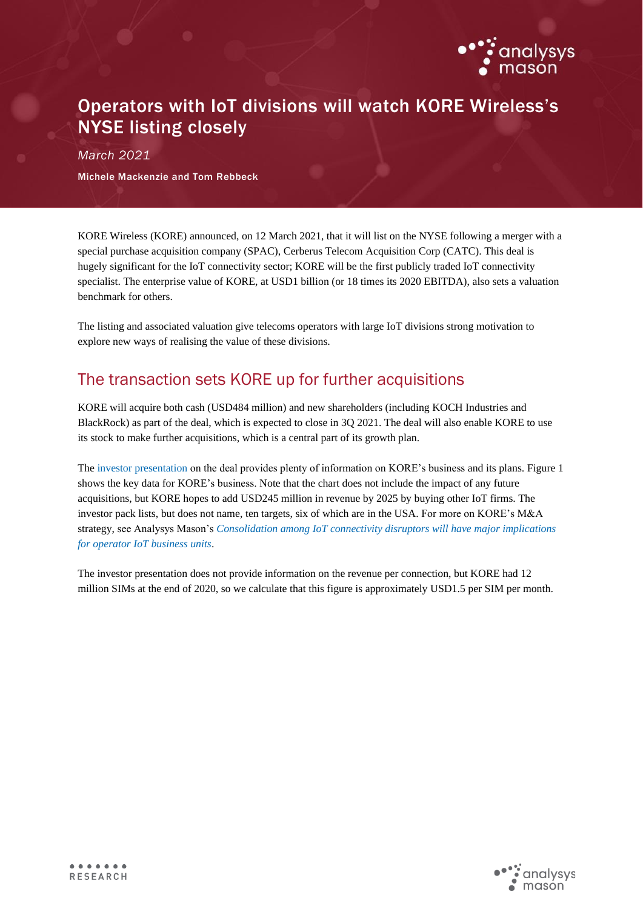

## Operators with IoT divisions will watch KORE Wireless's NYSE listing closely

*March 2021*

Michele Mackenzie and Tom Rebbeck

KORE Wireless (KORE) announced, on 12 March 2021, that it will list on the NYSE following a merger with a special purchase acquisition company (SPAC), Cerberus Telecom Acquisition Corp (CATC). This deal is hugely significant for the IoT connectivity sector; KORE will be the first publicly traded IoT connectivity specialist. The enterprise value of KORE, at USD1 billion (or 18 times its 2020 EBITDA), also sets a valuation benchmark for others.

The listing and associated valuation give telecoms operators with large IoT divisions strong motivation to explore new ways of realising the value of these divisions.

## The transaction sets KORE up for further acquisitions

KORE will acquire both cash (USD484 million) and new shareholders (including KOCH Industries and BlackRock) as part of the deal, which is expected to close in 3Q 2021. The deal will also enable KORE to use its stock to make further acquisitions, which is a central part of its growth plan.

The [investor presentation](https://www.cerberusacquisition.com/wp-content/uploads/2021/03/CTAC-and-KORE-Investor-Presentation-March-2021.pdf) on the deal provides plenty of information on KORE's business and its plans. Figure 1 shows the key data for KORE's business. Note that the chart does not include the impact of any future acquisitions, but KORE hopes to add USD245 million in revenue by 2025 by buying other IoT firms. The investor pack lists, but does not name, ten targets, six of which are in the USA. For more on KORE's M&A strategy, see Analysys Mason's *[Consolidation among IoT connectivity disruptors will have major implications](https://www.analysysmason.com/research/content/comments/connectivity-disruptor-manda-rdme0/)  [for operator IoT business units](https://www.analysysmason.com/research/content/comments/connectivity-disruptor-manda-rdme0/)*.

The investor presentation does not provide information on the revenue per connection, but KORE had 12 million SIMs at the end of 2020, so we calculate that this figure is approximately USD1.5 per SIM per month.

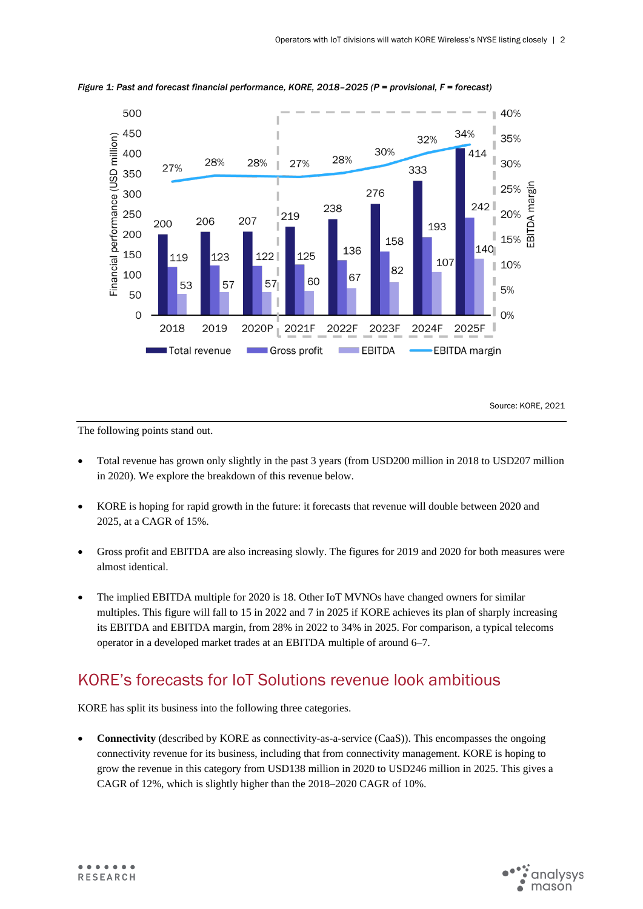

*Figure 1: Past and forecast financial performance, KORE, 2018–2025 (P = provisional, F = forecast)* 

Source: KORE, 2021

The following points stand out.

- Total revenue has grown only slightly in the past 3 years (from USD200 million in 2018 to USD207 million in 2020). We explore the breakdown of this revenue below.
- KORE is hoping for rapid growth in the future: it forecasts that revenue will double between 2020 and 2025, at a CAGR of 15%.
- Gross profit and EBITDA are also increasing slowly. The figures for 2019 and 2020 for both measures were almost identical.
- The implied EBITDA multiple for 2020 is 18. Other IoT MVNOs have changed owners for similar multiples. This figure will fall to 15 in 2022 and 7 in 2025 if KORE achieves its plan of sharply increasing its EBITDA and EBITDA margin, from 28% in 2022 to 34% in 2025. For comparison, a typical telecoms operator in a developed market trades at an EBITDA multiple of around 6–7.

## KORE's forecasts for IoT Solutions revenue look ambitious

KORE has split its business into the following three categories.

• **Connectivity** (described by KORE as connectivity-as-a-service (CaaS)). This encompasses the ongoing connectivity revenue for its business, including that from connectivity management. KORE is hoping to grow the revenue in this category from USD138 million in 2020 to USD246 million in 2025. This gives a CAGR of 12%, which is slightly higher than the 2018–2020 CAGR of 10%.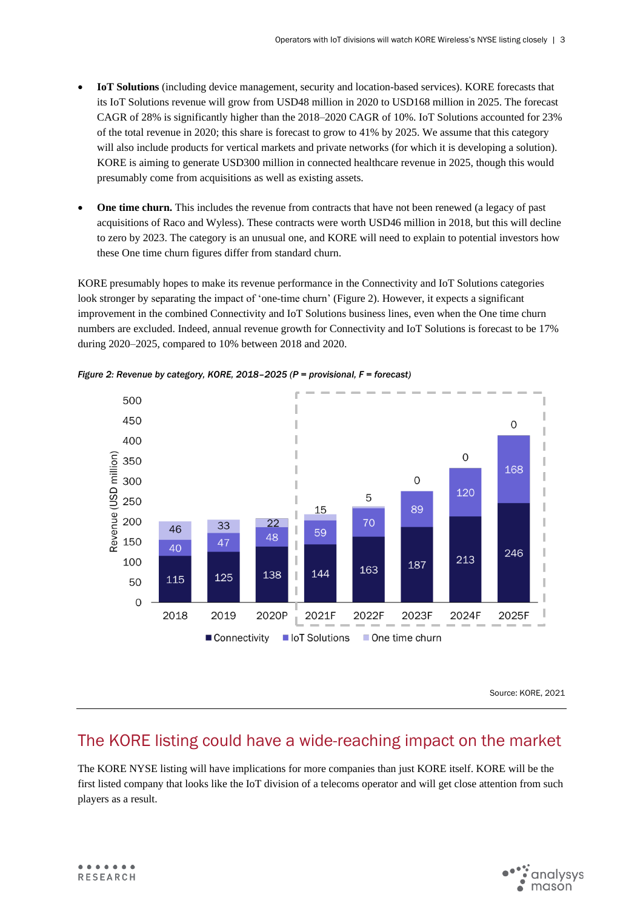- **IoT Solutions** (including device management, security and location-based services). KORE forecasts that its IoT Solutions revenue will grow from USD48 million in 2020 to USD168 million in 2025. The forecast CAGR of 28% is significantly higher than the 2018–2020 CAGR of 10%. IoT Solutions accounted for 23% of the total revenue in 2020; this share is forecast to grow to 41% by 2025. We assume that this category will also include products for vertical markets and private networks (for which it is developing a solution). KORE is aiming to generate USD300 million in connected healthcare revenue in 2025, though this would presumably come from acquisitions as well as existing assets.
- **One time churn.** This includes the revenue from contracts that have not been renewed (a legacy of past acquisitions of Raco and Wyless). These contracts were worth USD46 million in 2018, but this will decline to zero by 2023. The category is an unusual one, and KORE will need to explain to potential investors how these One time churn figures differ from standard churn.

KORE presumably hopes to make its revenue performance in the Connectivity and IoT Solutions categories look stronger by separating the impact of 'one-time churn' (Figure 2). However, it expects a significant improvement in the combined Connectivity and IoT Solutions business lines, even when the One time churn numbers are excluded. Indeed, annual revenue growth for Connectivity and IoT Solutions is forecast to be 17% during 2020–2025, compared to 10% between 2018 and 2020.



*Figure 2: Revenue by category, KORE, 2018–2025 (P = provisional, F = forecast)* 

Source: KORE, 2021

## The KORE listing could have a wide-reaching impact on the market

The KORE NYSE listing will have implications for more companies than just KORE itself. KORE will be the first listed company that looks like the IoT division of a telecoms operator and will get close attention from such players as a result.